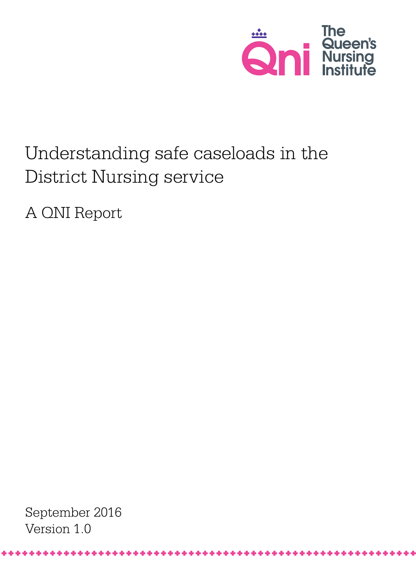

# Understanding safe caseloads in the District Nursing service

A QNI Report

September 2016 Version 1.0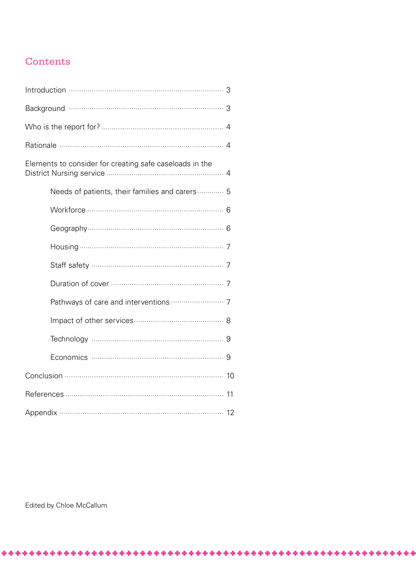## Contents

| Elements to consider for creating safe caseloads in the |
|---------------------------------------------------------|
| Needs of patients, their families and carers 5          |
|                                                         |
|                                                         |
|                                                         |
|                                                         |
|                                                         |
|                                                         |
|                                                         |
|                                                         |
|                                                         |
|                                                         |
|                                                         |
|                                                         |

Edited by Chloe McCallum

\*\*\*\*\*\*\*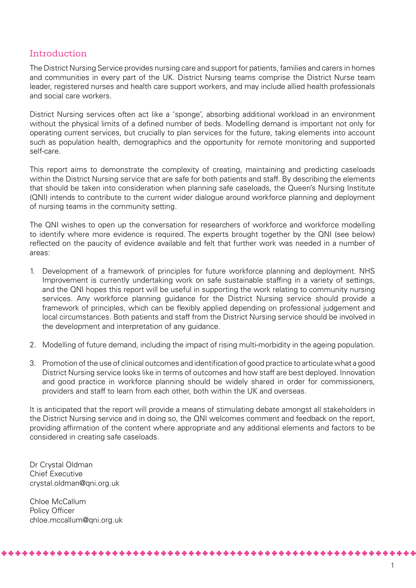## Introduction

The District Nursing Service provides nursing care and support for patients, families and carers in homes and communities in every part of the UK. District Nursing teams comprise the District Nurse team leader, registered nurses and health care support workers, and may include allied health professionals and social care workers.

District Nursing services often act like a 'sponge', absorbing additional workload in an environment without the physical limits of a defined number of beds. Modelling demand is important not only for operating current services, but crucially to plan services for the future, taking elements into account such as population health, demographics and the opportunity for remote monitoring and supported self-care.

This report aims to demonstrate the complexity of creating, maintaining and predicting caseloads within the District Nursing service that are safe for both patients and staff. By describing the elements that should be taken into consideration when planning safe caseloads, the Queen's Nursing Institute (QNI) intends to contribute to the current wider dialogue around workforce planning and deployment of nursing teams in the community setting.

The QNI wishes to open up the conversation for researchers of workforce and workforce modelling to identify where more evidence is required. The experts brought together by the QNI (see below) reflected on the paucity of evidence available and felt that further work was needed in a number of areas:

- 1. Development of a framework of principles for future workforce planning and deployment. NHS Improvement is currently undertaking work on safe sustainable staffing in a variety of settings, and the QNI hopes this report will be useful in supporting the work relating to community nursing services. Any workforce planning guidance for the District Nursing service should provide a framework of principles, which can be flexibly applied depending on professional judgement and local circumstances. Both patients and staff from the District Nursing service should be involved in the development and interpretation of any guidance.
- 2. Modelling of future demand, including the impact of rising multi-morbidity in the ageing population.
- 3. Promotion of the use of clinical outcomes and identification of good practice to articulate what a good District Nursing service looks like in terms of outcomes and how staff are best deployed. Innovation and good practice in workforce planning should be widely shared in order for commissioners, providers and staff to learn from each other, both within the UK and overseas.

It is anticipated that the report will provide a means of stimulating debate amongst all stakeholders in the District Nursing service and in doing so, the QNI welcomes comment and feedback on the report, providing affirmation of the content where appropriate and any additional elements and factors to be considered in creating safe caseloads.

Dr Crystal Oldman Chief Executive crystal.oldman@qni.org.uk

Chloe McCallum Policy Officer chloe.mccallum@qni.org.uk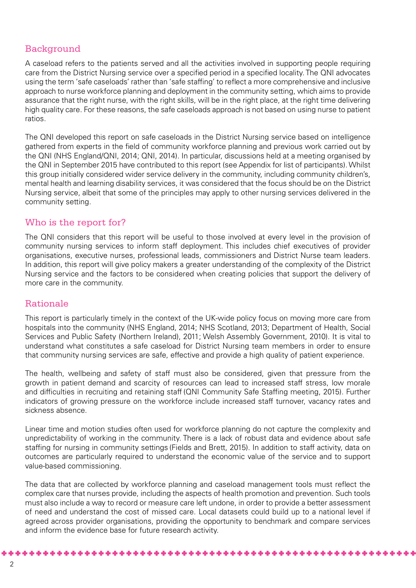## Background

A caseload refers to the patients served and all the activities involved in supporting people requiring care from the District Nursing service over a specified period in a specified locality. The QNI advocates using the term 'safe caseloads' rather than 'safe staffing' to reflect a more comprehensive and inclusive approach to nurse workforce planning and deployment in the community setting, which aims to provide assurance that the right nurse, with the right skills, will be in the right place, at the right time delivering high quality care. For these reasons, the safe caseloads approach is not based on using nurse to patient ratios.

The QNI developed this report on safe caseloads in the District Nursing service based on intelligence gathered from experts in the field of community workforce planning and previous work carried out by the QNI (NHS England/QNI, 2014; QNI, 2014). In particular, discussions held at a meeting organised by the QNI in September 2015 have contributed to this report (see Appendix for list of participants). Whilst this group initially considered wider service delivery in the community, including community children's, mental health and learning disability services, it was considered that the focus should be on the District Nursing service, albeit that some of the principles may apply to other nursing services delivered in the community setting.

## Who is the report for?

The QNI considers that this report will be useful to those involved at every level in the provision of community nursing services to inform staff deployment. This includes chief executives of provider organisations, executive nurses, professional leads, commissioners and District Nurse team leaders. In addition, this report will give policy makers a greater understanding of the complexity of the District Nursing service and the factors to be considered when creating policies that support the delivery of more care in the community.

## Rationale

This report is particularly timely in the context of the UK-wide policy focus on moving more care from hospitals into the community (NHS England, 2014; NHS Scotland, 2013; Department of Health, Social Services and Public Safety (Northern Ireland), 2011; Welsh Assembly Government, 2010). It is vital to understand what constitutes a safe caseload for District Nursing team members in order to ensure that community nursing services are safe, effective and provide a high quality of patient experience.

The health, wellbeing and safety of staff must also be considered, given that pressure from the growth in patient demand and scarcity of resources can lead to increased staff stress, low morale and difficulties in recruiting and retaining staff (QNI Community Safe Staffing meeting, 2015). Further indicators of growing pressure on the workforce include increased staff turnover, vacancy rates and sickness absence.

Linear time and motion studies often used for workforce planning do not capture the complexity and unpredictability of working in the community. There is a lack of robust data and evidence about safe staffing for nursing in community settings (Fields and Brett, 2015). In addition to staff activity, data on outcomes are particularly required to understand the economic value of the service and to support value-based commissioning.

The data that are collected by workforce planning and caseload management tools must reflect the complex care that nurses provide, including the aspects of health promotion and prevention. Such tools must also include a way to record or measure care left undone, in order to provide a better assessment of need and understand the cost of missed care. Local datasets could build up to a national level if agreed across provider organisations, providing the opportunity to benchmark and compare services and inform the evidence base for future research activity.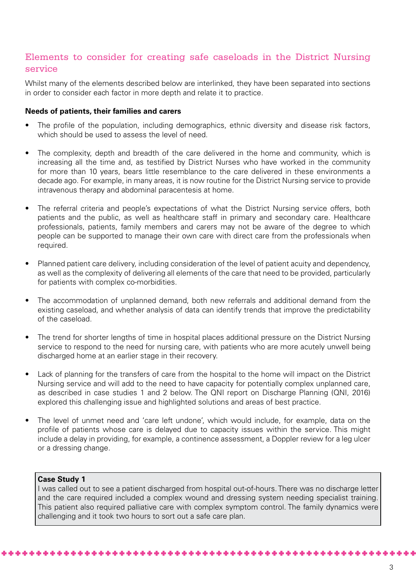## Elements to consider for creating safe caseloads in the District Nursing service

Whilst many of the elements described below are interlinked, they have been separated into sections in order to consider each factor in more depth and relate it to practice.

#### **Needs of patients, their families and carers**

- The profile of the population, including demographics, ethnic diversity and disease risk factors, which should be used to assess the level of need.
- The complexity, depth and breadth of the care delivered in the home and community, which is increasing all the time and, as testified by District Nurses who have worked in the community for more than 10 years, bears little resemblance to the care delivered in these environments a decade ago. For example, in many areas, it is now routine for the District Nursing service to provide intravenous therapy and abdominal paracentesis at home.
- The referral criteria and people's expectations of what the District Nursing service offers, both patients and the public, as well as healthcare staff in primary and secondary care. Healthcare professionals, patients, family members and carers may not be aware of the degree to which people can be supported to manage their own care with direct care from the professionals when required.
- Planned patient care delivery, including consideration of the level of patient acuity and dependency, as well as the complexity of delivering all elements of the care that need to be provided, particularly for patients with complex co-morbidities.
- The accommodation of unplanned demand, both new referrals and additional demand from the existing caseload, and whether analysis of data can identify trends that improve the predictability of the caseload.
- The trend for shorter lengths of time in hospital places additional pressure on the District Nursing service to respond to the need for nursing care, with patients who are more acutely unwell being discharged home at an earlier stage in their recovery.
- Lack of planning for the transfers of care from the hospital to the home will impact on the District Nursing service and will add to the need to have capacity for potentially complex unplanned care, as described in case studies 1 and 2 below. The QNI report on Discharge Planning (QNI, 2016) explored this challenging issue and highlighted solutions and areas of best practice.
- The level of unmet need and 'care left undone', which would include, for example, data on the profile of patients whose care is delayed due to capacity issues within the service. This might include a delay in providing, for example, a continence assessment, a Doppler review for a leg ulcer or a dressing change.

#### **Case Study 1**

\*\*\*\*\*\*\*\*\*\*\*\*\*\*\*\*

I was called out to see a patient discharged from hospital out-of-hours. There was no discharge letter and the care required included a complex wound and dressing system needing specialist training. This patient also required palliative care with complex symptom control. The family dynamics were challenging and it took two hours to sort out a safe care plan.

. . . . . . .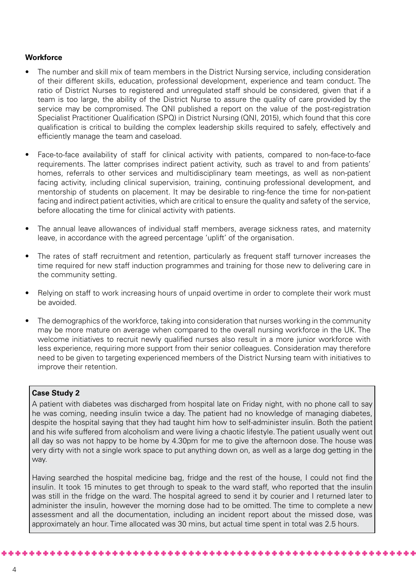#### **Workforce**

- The number and skill mix of team members in the District Nursing service, including consideration of their different skills, education, professional development, experience and team conduct. The ratio of District Nurses to registered and unregulated staff should be considered, given that if a team is too large, the ability of the District Nurse to assure the quality of care provided by the service may be compromised. The QNI published a report on the value of the post-registration Specialist Practitioner Qualification (SPQ) in District Nursing (QNI, 2015), which found that this core qualification is critical to building the complex leadership skills required to safely, effectively and efficiently manage the team and caseload.
- Face-to-face availability of staff for clinical activity with patients, compared to non-face-to-face requirements. The latter comprises indirect patient activity, such as travel to and from patients' homes, referrals to other services and multidisciplinary team meetings, as well as non-patient facing activity, including clinical supervision, training, continuing professional development, and mentorship of students on placement. It may be desirable to ring-fence the time for non-patient facing and indirect patient activities, which are critical to ensure the quality and safety of the service, before allocating the time for clinical activity with patients.
- The annual leave allowances of individual staff members, average sickness rates, and maternity leave, in accordance with the agreed percentage 'uplift' of the organisation.
- The rates of staff recruitment and retention, particularly as frequent staff turnover increases the time required for new staff induction programmes and training for those new to delivering care in the community setting.
- Relying on staff to work increasing hours of unpaid overtime in order to complete their work must be avoided.
- The demographics of the workforce, taking into consideration that nurses working in the community may be more mature on average when compared to the overall nursing workforce in the UK. The welcome initiatives to recruit newly qualified nurses also result in a more junior workforce with less experience, requiring more support from their senior colleagues. Consideration may therefore need to be given to targeting experienced members of the District Nursing team with initiatives to improve their retention.

#### **Case Study 2**

A patient with diabetes was discharged from hospital late on Friday night, with no phone call to say he was coming, needing insulin twice a day. The patient had no knowledge of managing diabetes, despite the hospital saying that they had taught him how to self-administer insulin. Both the patient and his wife suffered from alcoholism and were living a chaotic lifestyle. The patient usually went out all day so was not happy to be home by 4.30pm for me to give the afternoon dose. The house was very dirty with not a single work space to put anything down on, as well as a large dog getting in the way.

Having searched the hospital medicine bag, fridge and the rest of the house, I could not find the insulin. It took 15 minutes to get through to speak to the ward staff, who reported that the insulin was still in the fridge on the ward. The hospital agreed to send it by courier and I returned later to administer the insulin, however the morning dose had to be omitted. The time to complete a new assessment and all the documentation, including an incident report about the missed dose, was approximately an hour. Time allocated was 30 mins, but actual time spent in total was 2.5 hours.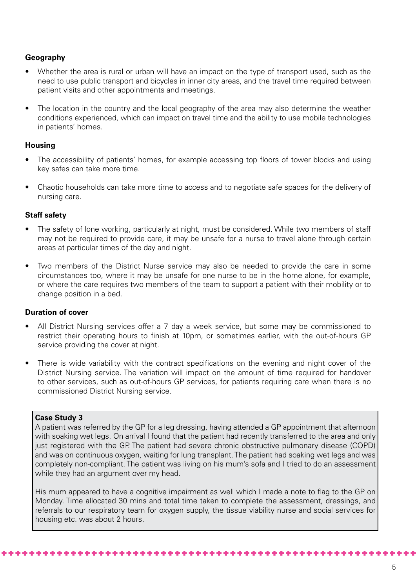#### **Geography**

- Whether the area is rural or urban will have an impact on the type of transport used, such as the need to use public transport and bicycles in inner city areas, and the travel time required between patient visits and other appointments and meetings.
- The location in the country and the local geography of the area may also determine the weather conditions experienced, which can impact on travel time and the ability to use mobile technologies in patients' homes.

#### **Housing**

- The accessibility of patients' homes, for example accessing top floors of tower blocks and using key safes can take more time.
- Chaotic households can take more time to access and to negotiate safe spaces for the delivery of nursing care.

#### **Staff safety**

- The safety of lone working, particularly at night, must be considered. While two members of staff may not be required to provide care, it may be unsafe for a nurse to travel alone through certain areas at particular times of the day and night.
- Two members of the District Nurse service may also be needed to provide the care in some circumstances too, where it may be unsafe for one nurse to be in the home alone, for example, or where the care requires two members of the team to support a patient with their mobility or to change position in a bed.

#### **Duration of cover**

- All District Nursing services offer a 7 day a week service, but some may be commissioned to restrict their operating hours to finish at 10pm, or sometimes earlier, with the out-of-hours GP service providing the cover at night.
- There is wide variability with the contract specifications on the evening and night cover of the District Nursing service. The variation will impact on the amount of time required for handover to other services, such as out-of-hours GP services, for patients requiring care when there is no commissioned District Nursing service.

#### **Case Study 3**

A patient was referred by the GP for a leg dressing, having attended a GP appointment that afternoon with soaking wet legs. On arrival I found that the patient had recently transferred to the area and only just registered with the GP. The patient had severe chronic obstructive pulmonary disease (COPD) and was on continuous oxygen, waiting for lung transplant. The patient had soaking wet legs and was completely non-compliant. The patient was living on his mum's sofa and I tried to do an assessment while they had an argument over my head.

His mum appeared to have a cognitive impairment as well which I made a note to flag to the GP on Monday. Time allocated 30 mins and total time taken to complete the assessment, dressings, and referrals to our respiratory team for oxygen supply, the tissue viability nurse and social services for housing etc. was about 2 hours.

\*\*\*\*\*\*\*\*\*\*\*\*\*\*\*\*\*\*\*\*\*\*\*\*\*\*\*\*\*\*\*\*\*\*\*\*\*\*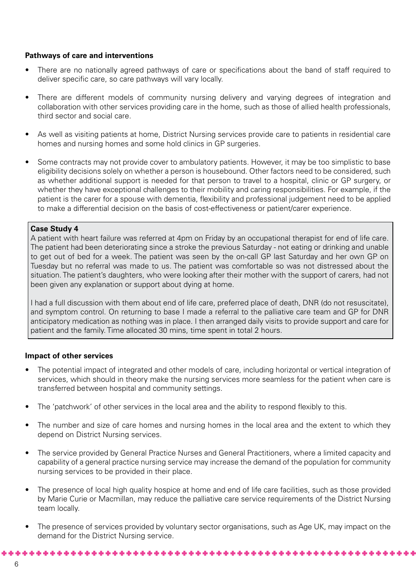#### **Pathways of care and interventions**

- There are no nationally agreed pathways of care or specifications about the band of staff required to deliver specific care, so care pathways will vary locally.
- There are different models of community nursing delivery and varying degrees of integration and collaboration with other services providing care in the home, such as those of allied health professionals, third sector and social care.
- As well as visiting patients at home, District Nursing services provide care to patients in residential care homes and nursing homes and some hold clinics in GP surgeries.
- Some contracts may not provide cover to ambulatory patients. However, it may be too simplistic to base eligibility decisions solely on whether a person is housebound. Other factors need to be considered, such as whether additional support is needed for that person to travel to a hospital, clinic or GP surgery, or whether they have exceptional challenges to their mobility and caring responsibilities. For example, if the patient is the carer for a spouse with dementia, flexibility and professional judgement need to be applied to make a differential decision on the basis of cost-effectiveness or patient/carer experience.

#### **Case Study 4**

A patient with heart failure was referred at 4pm on Friday by an occupational therapist for end of life care. The patient had been deteriorating since a stroke the previous Saturday - not eating or drinking and unable to get out of bed for a week. The patient was seen by the on-call GP last Saturday and her own GP on Tuesday but no referral was made to us. The patient was comfortable so was not distressed about the situation. The patient's daughters, who were looking after their mother with the support of carers, had not been given any explanation or support about dying at home.

I had a full discussion with them about end of life care, preferred place of death, DNR (do not resuscitate), and symptom control. On returning to base I made a referral to the palliative care team and GP for DNR anticipatory medication as nothing was in place. I then arranged daily visits to provide support and care for patient and the family. Time allocated 30 mins, time spent in total 2 hours.

#### **Impact of other services**

- The potential impact of integrated and other models of care, including horizontal or vertical integration of services, which should in theory make the nursing services more seamless for the patient when care is transferred between hospital and community settings.
- The 'patchwork' of other services in the local area and the ability to respond flexibly to this.
- The number and size of care homes and nursing homes in the local area and the extent to which they depend on District Nursing services.
- The service provided by General Practice Nurses and General Practitioners, where a limited capacity and capability of a general practice nursing service may increase the demand of the population for community nursing services to be provided in their place.
- The presence of local high quality hospice at home and end of life care facilities, such as those provided by Marie Curie or Macmillan, may reduce the palliative care service requirements of the District Nursing team locally.
- The presence of services provided by voluntary sector organisations, such as Age UK, may impact on the demand for the District Nursing service.

والدران والدران والدران والدران والدران والدران والدران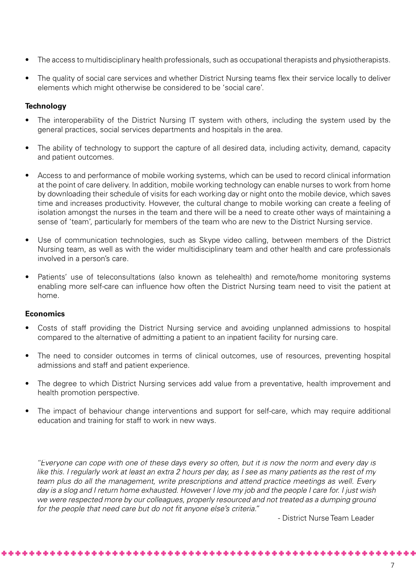- The access to multidisciplinary health professionals, such as occupational therapists and physiotherapists.
- The quality of social care services and whether District Nursing teams flex their service locally to deliver elements which might otherwise be considered to be 'social care'.

#### **Technology**

- The interoperability of the District Nursing IT system with others, including the system used by the general practices, social services departments and hospitals in the area.
- The ability of technology to support the capture of all desired data, including activity, demand, capacity and patient outcomes.
- Access to and performance of mobile working systems, which can be used to record clinical information at the point of care delivery. In addition, mobile working technology can enable nurses to work from home by downloading their schedule of visits for each working day or night onto the mobile device, which saves time and increases productivity. However, the cultural change to mobile working can create a feeling of isolation amongst the nurses in the team and there will be a need to create other ways of maintaining a sense of 'team', particularly for members of the team who are new to the District Nursing service.
- Use of communication technologies, such as Skype video calling, between members of the District Nursing team, as well as with the wider multidisciplinary team and other health and care professionals involved in a person's care.
- Patients' use of teleconsultations (also known as telehealth) and remote/home monitoring systems enabling more self-care can influence how often the District Nursing team need to visit the patient at home.

#### **Economics**

- Costs of staff providing the District Nursing service and avoiding unplanned admissions to hospital compared to the alternative of admitting a patient to an inpatient facility for nursing care.
- The need to consider outcomes in terms of clinical outcomes, use of resources, preventing hospital admissions and staff and patient experience.
- The degree to which District Nursing services add value from a preventative, health improvement and health promotion perspective.
- The impact of behaviour change interventions and support for self-care, which may require additional education and training for staff to work in new ways.

*''Everyone can cope with one of these days every so often, but it is now the norm and every day is like this. I regularly work at least an extra 2 hours per day, as I see as many patients as the rest of my team plus do all the management, write prescriptions and attend practice meetings as well. Every day is a slog and I return home exhausted. However I love my job and the people I care for. I just wish we were respected more by our colleagues, properly resourced and not treated as a dumping ground for the people that need care but do not fit anyone else's criteria.''* 

\*\*\*\*\*\*\*\*\*\*\*\*\*\*\*\*\*\*\*\*\*\*\*\*\*\*\*\*

- District Nurse Team Leader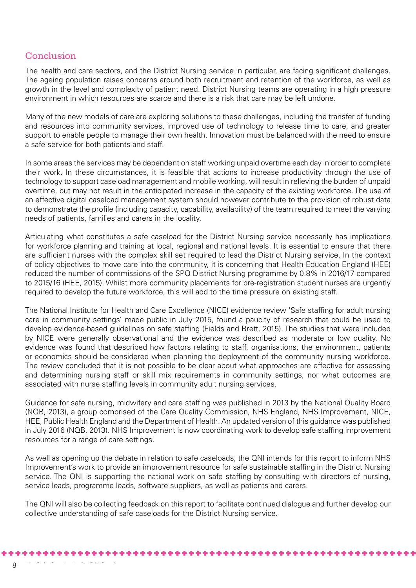## Conclusion

The health and care sectors, and the District Nursing service in particular, are facing significant challenges. The ageing population raises concerns around both recruitment and retention of the workforce, as well as growth in the level and complexity of patient need. District Nursing teams are operating in a high pressure environment in which resources are scarce and there is a risk that care may be left undone.

Many of the new models of care are exploring solutions to these challenges, including the transfer of funding and resources into community services, improved use of technology to release time to care, and greater support to enable people to manage their own health. Innovation must be balanced with the need to ensure a safe service for both patients and staff.

In some areas the services may be dependent on staff working unpaid overtime each day in order to complete their work. In these circumstances, it is feasible that actions to increase productivity through the use of technology to support caseload management and mobile working, will result in relieving the burden of unpaid overtime, but may not result in the anticipated increase in the capacity of the existing workforce. The use of an effective digital caseload management system should however contribute to the provision of robust data to demonstrate the profile (including capacity, capability, availability) of the team required to meet the varying needs of patients, families and carers in the locality.

Articulating what constitutes a safe caseload for the District Nursing service necessarily has implications for workforce planning and training at local, regional and national levels. It is essential to ensure that there are sufficient nurses with the complex skill set required to lead the District Nursing service. In the context of policy objectives to move care into the community, it is concerning that Health Education England (HEE) reduced the number of commissions of the SPQ District Nursing programme by 0.8% in 2016/17 compared to 2015/16 (HEE, 2015). Whilst more community placements for pre-registration student nurses are urgently required to develop the future workforce, this will add to the time pressure on existing staff.

The National Institute for Health and Care Excellence (NICE) evidence review 'Safe staffing for adult nursing care in community settings' made public in July 2015, found a paucity of research that could be used to develop evidence-based guidelines on safe staffing (Fields and Brett, 2015). The studies that were included by NICE were generally observational and the evidence was described as moderate or low quality. No evidence was found that described how factors relating to staff, organisations, the environment, patients or economics should be considered when planning the deployment of the community nursing workforce. The review concluded that it is not possible to be clear about what approaches are effective for assessing and determining nursing staff or skill mix requirements in community settings, nor what outcomes are associated with nurse staffing levels in community adult nursing services.

Guidance for safe nursing, midwifery and care staffing was published in 2013 by the National Quality Board (NQB, 2013), a group comprised of the Care Quality Commission, NHS England, NHS Improvement, NICE, HEE, Public Health England and the Department of Health. An updated version of this guidance was published in July 2016 (NQB, 2013). NHS Improvement is now coordinating work to develop safe staffing improvement resources for a range of care settings.

As well as opening up the debate in relation to safe caseloads, the QNI intends for this report to inform NHS Improvement's work to provide an improvement resource for safe sustainable staffing in the District Nursing service. The QNI is supporting the national work on safe staffing by consulting with directors of nursing, service leads, programme leads, software suppliers, as well as patients and carers.

The QNI will also be collecting feedback on this report to facilitate continued dialogue and further develop our collective understanding of safe caseloads for the District Nursing service.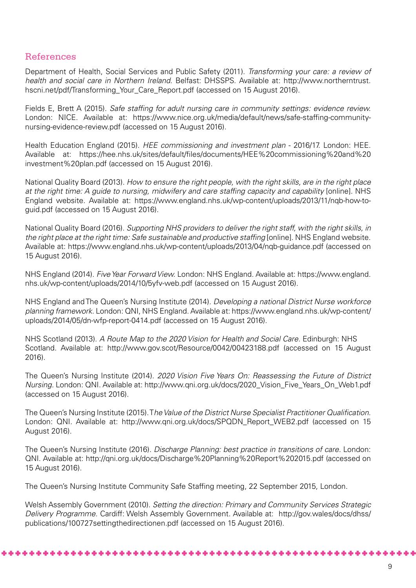#### References

Department of Health, Social Services and Public Safety (2011). *Transforming your care: a review of health and social care in Northern Ireland*. Belfast: DHSSPS. Available at: http://www.northerntrust. hscni.net/pdf/Transforming\_Your\_Care\_Report.pdf (accessed on 15 August 2016).

Fields E, Brett A (2015). *Safe staffing for adult nursing care in community settings: evidence review.*  London: NICE. Available at: https://www.nice.org.uk/media/default/news/safe-staffing-communitynursing-evidence-review.pdf (accessed on 15 August 2016).

Health Education England (2015). *HEE commissioning and investment plan* - 2016/17. London: HEE. Available at: https://hee.nhs.uk/sites/default/files/documents/HEE%20commissioning%20and%20 investment%20plan.pdf (accessed on 15 August 2016).

National Quality Board (2013). *How to ensure the right people, with the right skills, are in the right place at the right time: A guide to nursing, midwifery and care staffing capacity and capability* [online]. NHS England website. Available at: https://www.england.nhs.uk/wp-content/uploads/2013/11/nqb-how-toguid.pdf (accessed on 15 August 2016).

National Quality Board (2016). *Supporting NHS providers to deliver the right staff, with the right skills, in the right place at the right time: Safe sustainable and productive staffing* [online]. NHS England website. Available at: https://www.england.nhs.uk/wp-content/uploads/2013/04/nqb-guidance.pdf (accessed on 15 August 2016).

NHS England (2014). *Five Year Forward View.* London: NHS England. Available at: https://www.england. nhs.uk/wp-content/uploads/2014/10/5yfv-web.pdf (accessed on 15 August 2016).

NHS England and The Queen's Nursing Institute (2014). *Developing a national District Nurse workforce planning framework.* London: QNI, NHS England. Available at: https://www.england.nhs.uk/wp-content/ uploads/2014/05/dn-wfp-report-0414.pdf (accessed on 15 August 2016).

NHS Scotland (2013). *A Route Map to the 2020 Vision for Health and Social Care.* Edinburgh: NHS Scotland. Available at: http://www.gov.scot/Resource/0042/00423188.pdf (accessed on 15 August 2016).

The Queen's Nursing Institute (2014). *2020 Vision Five Years On: Reassessing the Future of District Nursing.* London: QNI. Available at: http://www.qni.org.uk/docs/2020\_Vision\_Five\_Years\_On\_Web1.pdf (accessed on 15 August 2016).

The Queen's Nursing Institute (2015). T*he Value of the District Nurse Specialist Practitioner Qualification.* London: QNI. Available at: http://www.qni.org.uk/docs/SPQDN\_Report\_WEB2.pdf (accessed on 15 August 2016).

The Queen's Nursing Institute (2016). *Discharge Planning: best practice in transitions of care.* London: QNI. Available at: http://qni.org.uk/docs/Discharge%20Planning%20Report%202015.pdf (accessed on 15 August 2016).

The Queen's Nursing Institute Community Safe Staffing meeting, 22 September 2015, London.

Welsh Assembly Government (2010). *Setting the direction: Primary and Community Services Strategic Delivery Programme.* Cardiff: Welsh Assembly Government. Available at: http://gov.wales/docs/dhss/ publications/100727settingthedirectionen.pdf (accessed on 15 August 2016).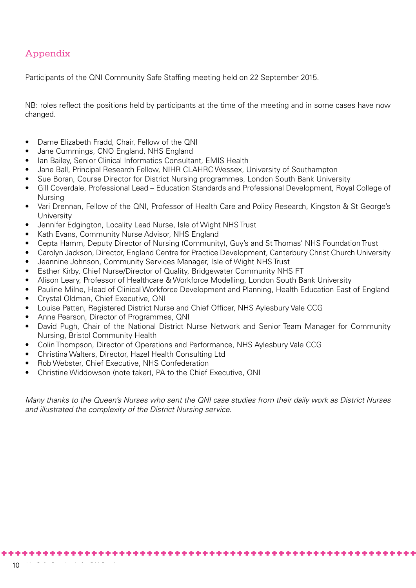## Appendix

Participants of the QNI Community Safe Staffing meeting held on 22 September 2015.

NB: roles reflect the positions held by participants at the time of the meeting and in some cases have now changed.

- Dame Elizabeth Fradd, Chair, Fellow of the QNI
- Jane Cummings, CNO England, NHS England
- Ian Bailey, Senior Clinical Informatics Consultant, EMIS Health
- Jane Ball, Principal Research Fellow, NIHR CLAHRC Wessex, University of Southampton
- Sue Boran, Course Director for District Nursing programmes, London South Bank University
- Gill Coverdale, Professional Lead Education Standards and Professional Development, Royal College of Nursing
- Vari Drennan, Fellow of the QNI, Professor of Health Care and Policy Research, Kingston & St George's **University**
- Jennifer Edgington, Locality Lead Nurse, Isle of Wight NHS Trust
- Kath Evans, Community Nurse Advisor, NHS England
- Cepta Hamm, Deputy Director of Nursing (Community), Guy's and St Thomas' NHS Foundation Trust
- Carolyn Jackson, Director, England Centre for Practice Development, Canterbury Christ Church University
- Jeannine Johnson, Community Services Manager, Isle of Wight NHS Trust
- Esther Kirby, Chief Nurse/Director of Quality, Bridgewater Community NHS FT
- Alison Leary, Professor of Healthcare & Workforce Modelling, London South Bank University
- Pauline Milne, Head of Clinical Workforce Development and Planning, Health Education East of England
- Crystal Oldman, Chief Executive, QNI
- Louise Patten, Registered District Nurse and Chief Officer, NHS Aylesbury Vale CCG
- Anne Pearson, Director of Programmes, QNI
- David Pugh, Chair of the National District Nurse Network and Senior Team Manager for Community Nursing, Bristol Community Health
- Colin Thompson, Director of Operations and Performance, NHS Aylesbury Vale CCG
- Christina Walters, Director, Hazel Health Consulting Ltd
- Rob Webster, Chief Executive, NHS Confederation
- Christine Widdowson (note taker), PA to the Chief Executive, QNI

*Many thanks to the Queen's Nurses who sent the QNI case studies from their daily work as District Nurses and illustrated the complexity of the District Nursing service.*

\*\*\*\*\*\*\*\*\*\*\*\*\*\*\*\*\*\*\*\*\*\*\*\*\*\*\*\*\*\*\*\*\*\*\*